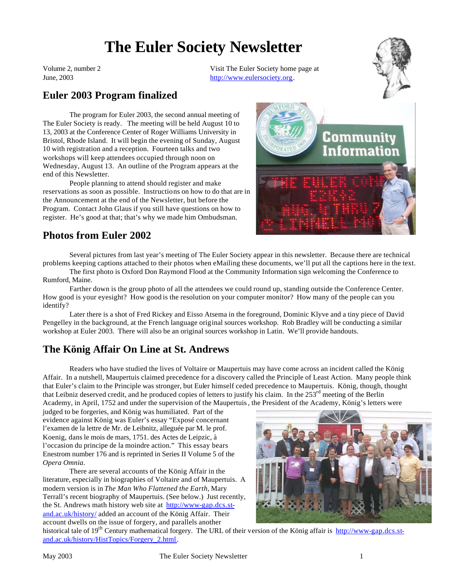# **The Euler Society Newsletter**

Volume 2, number 2 June, 2003

Visit The Euler Society home page at http://www.eulersociety.org.



## **Euler 2003 Program finalized**

The program for Euler 2003, the second annual meeting of The Euler Society is ready. The meeting will be held August 10 to 13, 2003 at the Conference Center of Roger Williams University in Bristol, Rhode Island. It will begin the evening of Sunday, August 10 with registration and a reception. Fourteen talks and two workshops will keep attendees occupied through noon on Wednesday, August 13. An outline of the Program appears at the end of this Newsletter.

People planning to attend should register and make reservations as soon as possible. Instructions on how to do that are in the Announcement at the end of the Newsletter, but before the Program. Contact John Glaus if you still have questions on how to register. He's good at that; that's why we made him Ombudsman.



## **Photos from Euler 2002**

Several pictures from last year's meeting of The Euler Society appear in this newsletter. Because there are technical problems keeping captions attached to their photos when eMailing these documents, we'll put all the captions here in the text.

The first photo is Oxford Don Raymond Flood at the Community Information sign welcoming the Conference to Rumford, Maine.

Farther down is the group photo of all the attendees we could round up, standing outside the Conference Center. How good is your eyesight? How good is the resolution on your computer monitor? How many of the people can you identify?

Later there is a shot of Fred Rickey and Eisso Atsema in the foreground, Dominic Klyve and a tiny piece of David Pengelley in the background, at the French language original sources workshop. Rob Bradley will be conducting a similar workshop at Euler 2003. There will also be an original sources workshop in Latin. We'll provide handouts.

## **The König Affair On Line at St. Andrews**

Readers who have studied the lives of Voltaire or Maupertuis may have come across an incident called the König Affair. In a nutshell, Maupertuis claimed precedence for a discovery called the Principle of Least Action. Many people think that Euler's claim to the Principle was stronger, but Euler himself ceded precedence to Maupertuis. König, though, thought that Leibniz deserved credit, and he produced copies of letters to justify his claim. In the  $253<sup>rd</sup>$  meeting of the Berlin Academy, in April, 1752 and under the supervision of the Maupertuis, the President of the Academy, König's letters were

judged to be forgeries, and König was humiliated. Part of the evidence against König was Euler's essay "Exposé concernant l'examen de la lettre de Mr. de Leibnitz, alleguée par M. le prof. Koenig, dans le mois de mars, 1751. des Actes de Leipzic, à l'occasion du principe de la moindre action." This essay bears Enestrom number 176 and is reprinted in Series II Volume 5 of the *Opera Omnia*.

There are several accounts of the König Affair in the literature, especially in biographies of Voltaire and of Maupertuis. A modern version is in *The Man Who Flattened the Earth,* Mary Terrall's recent biography of Maupertuis. (See below.) Just recently, the St. Andrews math history web site at http://www-gap.dcs.stand.ac.uk/history/ added an account of the König Affair. Their account dwells on the issue of forgery, and parallels another



historical tale of 19<sup>th</sup> Century mathematical forgery. The URL of their version of the König affair is http://www-gap.dcs.stand.ac.uk/history/HistTopics/Forgery\_2.html.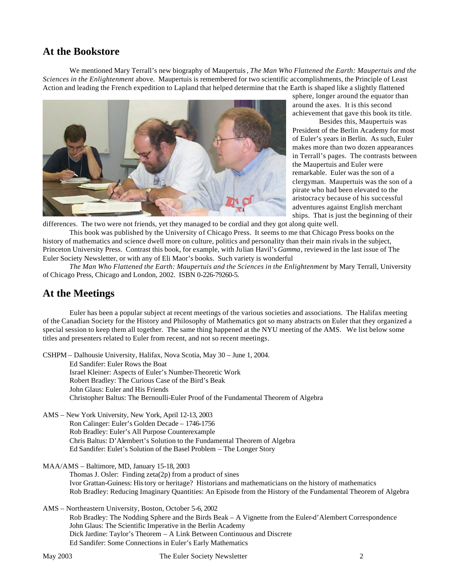## **At the Bookstore**

We mentioned Mary Terrall's new biography of Maupertuis, *The Man Who Flattened the Earth: Maupertuis and the Sciences in the Enlightenment* above. Maupertuis is remembered for two scientific accomplishments, the Principle of Least Action and leading the French expedition to Lapland that helped determine that the Earth is shaped like a slightly flattened



sphere, longer around the equator than around the axes. It is this second achievement that gave this book its title.

Besides this, Maupertuis was President of the Berlin Academy for most of Euler's years in Berlin. As such, Euler makes more than two dozen appearances in Terrall's pages. The contrasts between the Maupertuis and Euler were remarkable. Euler was the son of a clergyman. Maupertuis was the son of a pirate who had been elevated to the aristocracy because of his successful adventures against English merchant ships. That is just the beginning of their

differences. The two were not friends, yet they managed to be cordial and they got along quite well.

This book was published by the University of Chicago Press. It seems to me that Chicago Press books on the history of mathematics and science dwell more on culture, politics and personality than their main rivals in the subject, Princeton University Press. Contrast this book, for example, with Julian Havil's *Gamma*, reviewed in the last issue of The Euler Society Newsletter, or with any of Eli Maor's books. Such variety is wonderful

*The Man Who Flattened the Earth: Maupertuis and the Sciences in the Enlightenment* by Mary Terrall, University of Chicago Press, Chicago and London, 2002. ISBN 0-226-79260-5.

## **At the Meetings**

Euler has been a popular subject at recent meetings of the various societies and associations. The Halifax meeting of the Canadian Society for the History and Philosophy of Mathematics got so many abstracts on Euler that they organized a special session to keep them all together. The same thing happened at the NYU meeting of the AMS. We list below some titles and presenters related to Euler from recent, and not so recent meetings.

CSHPM – Dalhousie University, Halifax, Nova Scotia, May 30 – June 1, 2004. Ed Sandifer: Euler Rows the Boat Israel Kleiner: Aspects of Euler's Number-Theoretic Work Robert Bradley: The Curious Case of the Bird's Beak John Glaus: Euler and His Friends Christopher Baltus: The Bernoulli-Euler Proof of the Fundamental Theorem of Algebra

AMS – New York University, New York, April 12-13, 2003 Ron Calinger: Euler's Golden Decade – 1746-1756 Rob Bradley: Euler's All Purpose Counterexample Chris Baltus: D'Alembert's Solution to the Fundamental Theorem of Algebra Ed Sandifer: Eulet's Solution of the Basel Problem – The Longer Story

MAA/AMS – Baltimore, MD, January 15-18, 2003

Thomas J. Osler: Finding zeta(2p) from a product of sines Ivor Grattan-Guiness: History or heritage? Historians and mathematicians on the history of mathematics Rob Bradley: Reducing Imaginary Quantities: An Episode from the History of the Fundamental Theorem of Algebra

AMS – Northeastern University, Boston, October 5-6, 2002

Rob Bradley: The Nodding Sphere and the Birds Beak – A Vignette from the Euler-d'Alembert Correspondence John Glaus: The Scientific Imperative in the Berlin Academy Dick Jardine: Taylor's Theorem – A Link Between Continuous and Discrete Ed Sandifer: Some Connections in Euler's Early Mathematics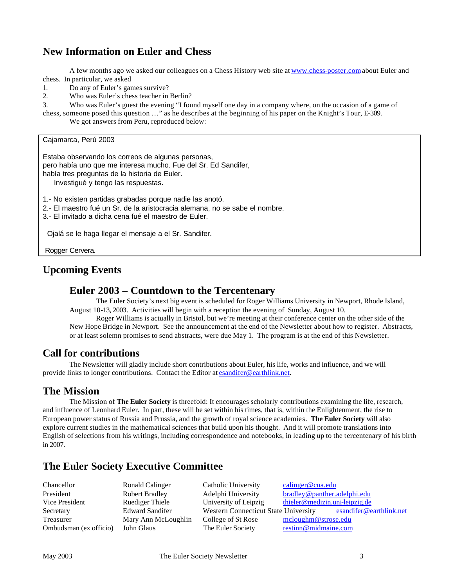## **New Information on Euler and Chess**

A few months ago we asked our colleagues on a Chess History web site at www.chess-poster.com about Euler and chess. In particular, we asked

- 1. Do any of Euler's games survive?
- 2. Who was Euler's chess teacher in Berlin?

3. Who was Euler's guest the evening "I found myself one day in a company where, on the occasion of a game of chess, someone posed this question …" as he describes at the beginning of his paper on the Knight's Tour, E-309.

We got answers from Peru, reproduced below:

Cajamarca, Perú 2003

Estaba observando los correos de algunas personas, pero había uno que me interesa mucho. Fue del Sr. Ed Sandifer, había tres preguntas de la historia de Euler.

Investigué y tengo las respuestas.

- 1.- No existen partidas grabadas porque nadie las anotó.
- 2.- El maestro fué un Sr. de la aristocracia alemana, no se sabe el nombre.
- 3.- El invitado a dicha cena fué el maestro de Euler.

Ojalá se le haga llegar el mensaje a el Sr. Sandifer.

Rogger Cervera.

## **Upcoming Events**

### **Euler 2003 – Countdown to the Tercentenary**

The Euler Society's next big event is scheduled for Roger Williams University in Newport, Rhode Island, August 10-13, 2003. Activities will begin with a reception the evening of Sunday, August 10.

Roger Williams is actually in Bristol, but we're meeting at their conference center on the other side of the New Hope Bridge in Newport. See the announcement at the end of the Newsletter about how to register. Abstracts, or at least solemn promises to send abstracts, were due May 1. The program is at the end of this Newsletter.

### **Call for contributions**

The Newsletter will gladly include short contributions about Euler, his life, works and influence, and we will provide links to longer contributions. Contact the Editor at esandifer@earthlink.net.

### **The Mission**

The Mission of **The Euler Society** is threefold: It encourages scholarly contributions examining the life, research, and influence of Leonhard Euler. In part, these will be set within his times, that is, within the Enlightenment, the rise to European power status of Russia and Prussia, and the growth of royal science academies. **The Euler Society** will also explore current studies in the mathematical sciences that build upon his thought. And it will promote translations into English of selections from his writings, including correspondence and notebooks, in leading up to the tercentenary of his birth in 2007.

## **The Euler Society Executive Committee**

| Chancellor             | Ronald Calinger        | Catholic University                         | calinger@cua.edu               |
|------------------------|------------------------|---------------------------------------------|--------------------------------|
| President              | <b>Robert Bradley</b>  | Adelphi University                          | bradley@panther.adelphi.edu    |
| Vice President         | Ruediger Thiele        | University of Leipzig                       | thieler@medizin.uni-leipzig.de |
| Secretary              | <b>Edward Sandifer</b> | <b>Western Connecticut State University</b> | esandifer@earthlink.net        |
| Treasurer              | Mary Ann McLoughlin    | College of St Rose                          | mcloughm@strose.edu            |
| Ombudsman (ex officio) | John Glaus             | The Euler Society                           | restinn@midmaine.com           |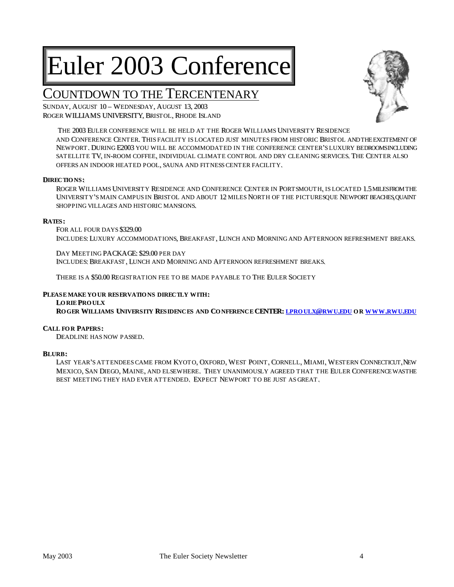# Euler 2003 Conference

## COUNTDOWN TO THE TERCENTENARY

SUNDAY, AUGUST 10 – WEDNESDAY, AUGUST 13, 2003 ROGER WILLIAMS UNIVERSITY, BRISTOL, RHODE ISLAND



THE 2003 EULER CONFERENCE WILL BE HELD AT THE ROGER WILLIAMS UNIVERSITY RESIDENCE AND CONFERENCE CENTER.. THIS FACILITY IS LOCATED JUST MINUTES FROM HISTORIC BRISTOL ANDTHEEXCITEMENT OF NEWPORT. DURING E2003 YOU WILL BE ACCOMMODATED IN THE CONFERENCE CENTER'S LUXURY BEDROOMSINCLUDING SATELLITE TV, IN-ROOM COFFEE, INDIVIDUAL CLIMATE CONTROL AND DRY CLEANING SERVICES. THE CENTER ALSO OFFERS AN INDOOR HEATED POOL, SAUNA AND FITNESS CENTER FACILITY.

### **DIRECTIONS :**

ROGER WILLIAMS UNIVERSITY RESIDENCE AND CONFERENCE CENTER IN PORTSMOUTH, IS LOCATED 1.5 MILESFROM THE UNIVERSITY'S MAIN CAMPUS IN BRISTOL AND ABOUT 12 MILES NORTH OF THE PICTURESQUE NEWPORT BEACHES, QUAINT SHOPPING VILLAGES AND HISTORIC MANSIONS..

### **RATES :**

FOR ALL FOUR DAYS \$329.00 INCLUDES: LUXURY ACCOMMODATIONS, BREAKFAST, LUNCH AND MORNING AND AFTERNOON REFRESHMENT BREAKS.

DAY MEETING PACKAGE: \$29.00 PER DAY INCLUDES: BREAKFAST, LUNCH AND MORNING AND AFTERNOON REFRESHMENT BREAKS.

THERE IS A \$50.00 REGISTRATION FEE TO BE MADE PAYABLE TO THE EULER SOCIETY

### **PLEASEMAKE YOUR RESERVATIONS DIRECTLY WITH:**

**LORIE PROULX** ROGER WILLIAMS UNIVERSITY RESIDENCES AND CONFERENCE CENTER; LPROULX@RWU,EDU OR WWW,RWU,EDU

### **CALL FOR PAPERS :**

DEADLINE HAS NOW PASSED..

### **BLURB:**

LAST YEAR'S ATTENDEES CAME FROM KYOTO, OXFORD, WEST POINT, CORNELL, MIAMI, WESTERN CONNECTICUT, NEW MEXICO, SAN DIEGO, MAINE, AND ELSEWHERE. THEY UNANIMOUSLY AGREED THAT THE EULER CONFERENCE WASTHE BEST MEETING THEY HAD EVER ATTENDED. EXPECT NEWPORT TO BE JUST AS GREAT.